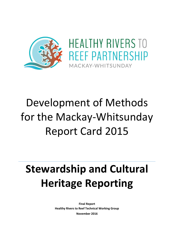

# Development of Methods for the Mackay-Whitsunday Report Card 2015

# **Stewardship and Cultural Heritage Reporting**

**Final Report Healthy Rivers to Reef Technical Working Group November 2016**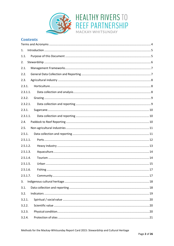

## **Contents**

| 1.       |
|----------|
| 1.1.     |
| 2.       |
| 2.1.     |
| 2.2.     |
| 2.3.     |
| 2.3.1.   |
| 2.3.1.1. |
| 2.3.2.   |
| 2.3.2.1. |
| 2.3.1.   |
| 2.3.1.1. |
| 2.4.     |
| 2.5.     |
| 2.5.1.   |
| 2.5.1.1. |
| 2.5.1.2. |
| 2.5.1.3. |
| 2.5.1.4. |
| 2.5.1.5. |
| 2.5.1.6. |
| 2.5.1.7. |
| 3.       |
| 3.1.     |
| 3.2.     |
| 3.2.1.   |
| 3.2.2.   |
| 3.2.3.   |
| 3.2.4.   |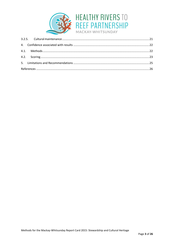

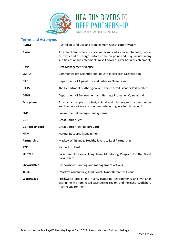

## <span id="page-3-0"></span>**Terms and Acronyms**

| <b>ALUM</b>            | Australian Land Use and Management Classification system                                                                                                                                                             |
|------------------------|----------------------------------------------------------------------------------------------------------------------------------------------------------------------------------------------------------------------|
| <b>Basin</b>           | An area of land where surface water runs into smaller channels, creeks<br>or rivers and discharges into a common point and may include many<br>sub-basins or sub-catchments (also known as river basin or catchment) |
| <b>BMP</b>             | <b>Best Management Practice</b>                                                                                                                                                                                      |
| <b>CSIRO</b>           | Commonwealth Scientific and Industrial Research Organisation                                                                                                                                                         |
| <b>DAF</b>             | Department of Agriculture and Fisheries Queensland                                                                                                                                                                   |
| <b>DATSIP</b>          | The Department of Aboriginal and Torres Strait Islander Partnerships                                                                                                                                                 |
| <b>DEHP</b>            | Department of Environment and Heritage Protection Queensland                                                                                                                                                         |
| Ecosystem              | A dynamic complex of plant, animal and microorganism communities<br>and their non-living environment interacting as a functional unit                                                                                |
| <b>EMS</b>             | Environmental management systems                                                                                                                                                                                     |
| <b>GBR</b>             | <b>Great Barrier Reef</b>                                                                                                                                                                                            |
| <b>GBR</b> report card | <b>Great Barrier Reef Report Card</b>                                                                                                                                                                                |
| <b>NRM</b>             | Natural Resource Management                                                                                                                                                                                          |
| Partnership            | Mackay-Whitsunday Healthy Rivers to Reef Partnership                                                                                                                                                                 |
| P <sub>2</sub> R       | Paddock to Reef                                                                                                                                                                                                      |
| <b>SELTMP</b>          | Social and Economic Long Term Monitoring Program for the Great<br><b>Barrier Reef</b>                                                                                                                                |
| Stewardship            | Responsible planning and management actions                                                                                                                                                                          |
| <b>TORG</b>            | (Mackay Whitsunday) Traditional Owner Reference Group                                                                                                                                                                |
| Waterways              | Freshwater creeks and rivers, estuarine environments and wetlands<br>within the five nominated basins in the region, and the inshore/offshore<br>marine environment                                                  |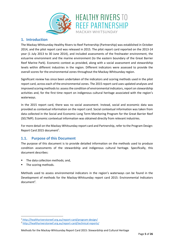

## <span id="page-4-0"></span>**1. Introduction**

The Mackay-Whitsunday Healthy Rivers to Reef Partnership (Partnership) was established in October 2014, and the pilot report card was released in 2015. The pilot report card reported on the 2013-14 year (1 July 2013 to 30 June 2014), and included assessments of the freshwater environment, the estuarine environment and the marine environment (to the eastern boundary of the Great Barrier Reef Marine Park). Economic context as provided, along with a social assessment and stewardship levels within different industries in the region. Different indicators were assessed to provide the overall scores for the environmental zones throughout the Mackay-Whitsunday region.

Significant review has since been undertaken of the indicators and scoring methods used in the pilot report card, across each of the environmental zones. The 2015 report card uses updated analyses and improved scoring methods to: assess the condition of environmental indicators, report on stewardship activities and, for the first time report on indigenous cultural heritage associated with the region's waterways.

In the 2015 report card, there was no social assessment. Instead, social and economic data was provided as contextual information on the report card. Social contextual information was taken from data collected in the Social and Economic Long Term Monitoring Program for the Great Barrier Reef (SELTMP). Economic contextual information was obtained directly from relevant industries.

For more detail on the Mackay-Whitsunday report card and Partnership, refer to the Program Design: Report Card 2015 document<sup>1</sup>.

## <span id="page-4-1"></span>**1.1. Purpose of this Document**

The purpose of this document is to provide detailed information on the methods used to produce condition assessments of the stewardship and indigenous cultural heritage. Specifically, this document describes:

- The data collection methods; and,
- The scoring methods.

1

Methods used to assess environmental indicators in the region's waterways can be found in the Development of methods for the Mackay-Whitsunday report card 2015: Environmental Indicators document<sup>2</sup>.

<sup>1</sup> <http://healthyriverstoreef.org.au/report-card/program-design/>

<sup>2</sup> <http://healthyriverstoreef.org.au/report-card/technical-reports/>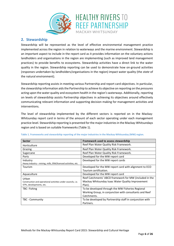

## <span id="page-5-0"></span>**2. Stewardship**

Stewardship will be represented as the level of effective environmental management practice implemented across the region in relation to waterways and the marine environment. Stewardship is an important aspect to include in the report card as it provides information on the voluntary actions landholders and organisations in the region are implementing (such as improved land management practices) to provide benefits to ecosystems. Stewardship activities have a direct link to the water quality in the region. Stewardship reporting can be used to demonstrate how on-ground activities (*responses* undertaken by landholders/organisations in the region) impact water quality (the *state* of the natural environment).

Stewardship reporting assists in meeting various Partnership and report card objectives. In particular, the stewardship information aidsthe Partnership to achieve its objective on reporting on the *pressures* acting upon the water quality and ecosystem health in the region's waterways. Additionally, reporting on levels of stewardship assists Partnership objectives in achieving its objectives around effectively communicating relevant information and supporting decision making for management activities and interventions.

The level of stewardship implemented by the different sectors is reported on in the Mackay-Whitsunday report card in terms of the amount of each sector operating under each management practice level. Stewardship reporting is presented forthe major industries in the Mackay-Whitsundays region and is based on suitable frameworks [\(Table 1\)](#page-5-1).

| <b>Sector</b>                                                 | Framework used to assess stewardship                     |
|---------------------------------------------------------------|----------------------------------------------------------|
| Horticulture                                                  | Reef Plan Water Quality Risk Framework.                  |
| Grazing                                                       | Reef Plan Water Quality Risk Framework.                  |
| Sugarcane                                                     | Reef Plan Water Quality Risk Framework.                  |
| Ports                                                         | Developed for the MW report card                         |
| Industry                                                      | Developed for the MW report cards                        |
| Heavy industry – mining, mills, ERA/licenced activities, etc. |                                                          |
| Tourism                                                       | Developed for the MW report card with alignment to ECO   |
|                                                               | Tourism certification.                                   |
| Aquaculture                                                   | Developed for the MW report card                         |
| Urban                                                         | Reef Catchments' ABCD framework for MW (included in the  |
| Construction and operational activities under councils, i.e.  | Mackay Whitsunday Isaac Water Quality Improvement        |
| STPs, developments, etc.                                      | Plan).                                                   |
| TBC-Fishing                                                   | To be developed through the MW Fisheries Regional        |
|                                                               | Working Group, in conjunction with consultants and Reef  |
|                                                               | Catchments.                                              |
| TBC - Community                                               | To be developed by Partnership staff in conjunction with |
|                                                               | Partners.                                                |

<span id="page-5-1"></span>**Table 1. Frameworks and stewardship reporting of the major industries in the Mackay-Whitsunday (MW) region.**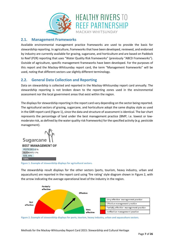

## <span id="page-6-0"></span>**2.1. Management Frameworks**

Available environmental management practice frameworks are used to provide the basis for stewardship reporting. In agriculture, frameworks that have been developed, reviewed, and endorsed by industry are currently available for grazing, sugarcane, and horticulture and are based on Paddock to Reef (P2R) reporting that uses "Water Quality Risk frameworks" (previously "ABCD Frameworks"). Outside of agriculture, specific management frameworks have been developed. For the purposes of this report and the Mackay-Whitsunday report card, the term "Management frameworks" will be used, noting that different sectors use slightly different terminology.

## <span id="page-6-1"></span>**2.2. General Data Collection and Reporting**

Data on stewardship is collected and reported in the Mackay-Whitsunday report card annually. The stewardship reporting is not broken down to the reporting zones used in the environmental assessment nor the local government areas that exist within the region.

The displays for stewardship reporting in the report card vary depending on the sector being reported. The agricultural sectors of grazing, sugarcane, and horticulture adopt the same display style as used in the GBR report card [\(Figure 1\)](#page-6-2), since the data and structure of assessment is identical. The bar chart represents the percentage of land under the best management practice (BMP; i.e. lowest or lowmoderate risk, as defined by the water quality risk frameworks) for the specified activity (e.g. pesticide management).

**Sugarcane** 

**BEST MANAGEMENT OF** PESTICIDES 41% **NUTRIENTS 17% SOIL 35%** 100%

<span id="page-6-2"></span>**Figure 1. Example of stewardship displays for agricultural sectors.**

The stewardship result displays for the other sectors (ports, tourism, heavy industry, urban and aquaculture) are reported in the report card using 'fire rating' style diagram shown in [Figure 2,](#page-6-3) with the arrow indicating the average operational level of the industry in the region.



<span id="page-6-3"></span>**Figure 2. Example of stewardship displays for ports, tourism, heavy industry, urban and aquaculture sectors.**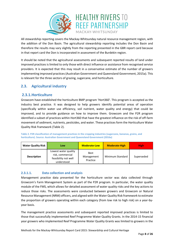

All stewardship reporting covers the Mackay-Whitsunday natural resource management region, with the addition of the Don Basin. The agricultural stewardship reporting includes the Don Basin and therefore the results may vary slightly from the reporting presented in the GBR report card because in that report card the Don is incorporated in assessment of the Burdekin region.

It should be noted that the agricultural assessments and subsequent reported results of land under improved practices is limited to only those with direct influence or assistance from recognised service providers. It is expected that this may result in a conservative estimate of the number of growers implementing improved practices (Australian Government and Queensland Government, 2015a). This is relevant for the three sectors of grazing, sugarcane, and horticulture.

## <span id="page-7-0"></span>**2.3. Agricultural industry**

## <span id="page-7-1"></span>**2.3.1.Horticulture**

Growcom have established the horticulture BMP program 'Hort360'. This program is accepted as the industry best practice. It was designed to help growers identify potential areas of operation (specifically within water use efficiency, soil nutrient, water quality and energy) that could be improved, and to provide guidance on how to improve them. Growcom and the P2R program identified a subset of practices within Hort360 that have the greatest influence on the risk of off-farm movement of sediment, nutrients, pesticides, and water. These practices form the Horticulture Water Quality Risk framework [\(Table 2\)](#page-7-3).

<span id="page-7-3"></span>**Table 2. P2R classification of management practices in the cropping industries (sugarcane, bananas, grains, and horticulture). Source: Australian Government and Queensland Government (2016a)**

| <b>Water Quality Risk</b> | Low                                                                            | <b>Moderate-Low</b>                   | <b>Moderate-High</b> | <b>High</b> |
|---------------------------|--------------------------------------------------------------------------------|---------------------------------------|----------------------|-------------|
| <b>Description</b>        | Lowest water quality<br>risk, commercial<br>feasibility not well<br>understood | <b>Best</b><br>Management<br>Practice | Minimum Standard     | Superseded  |

## <span id="page-7-2"></span>**2.3.1.1. Data collection and analysis**

Management practice data presented for the horticulture sector was data collected through Growcom's Farm Management System as part of the P2R program. In particular, the water quality module of the FMS, which allows for detailed assessment of water quality risks and the key actions to reduce those risks. The assessments were conducted between growers and Growcom or Natural Resource Management (NRM) officers, and aligned with the Water Quality Risk framework to estimate the proportion of growers operating within each category (from low risk to high risk) on a year-byyear basis.

The management practice assessments and subsequent reported improved practices is limited to those that successfully implemented Reef Programme Water Quality Grants. In the 2014-15 financial year growers who implemented Reef Programme Water Quality Grants was limited to growers in the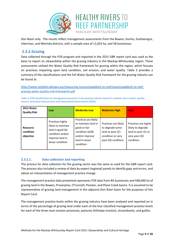

Don Basin only. The results reflect management assessments from the Bowen, Gumlu, Guthalungra, Inkerman, and Merinda districts, with a sample area of 11,833 ha, and 58 businesses.

## <span id="page-8-0"></span>**2.3.2.Grazing**

Data collected through the P2R program and reported in the 2015 GBR report card was used as the basis to report on stewardship within the grazing industry in the Mackay-Whitsunday region. These assessments utilised the Water Quality Risk framework for grazing within the region, which focuses on practices impacting upon land condition, soil erosion, and water quality. [Table 3](#page-8-2) provides a summary of the classifications and the full Water Quality Risk framework for the grazing industry can be found at:

[http://www.reefplan.qld.gov.au/measuring-success/paddock-to-reef/assets/paddock-to-reef](http://www.reefplan.qld.gov.au/measuring-success/paddock-to-reef/assets/paddock-to-reef-grazing-water-quality-risk-framework.pdf)[grazing-water-quality-risk-framework.pdf](http://www.reefplan.qld.gov.au/measuring-success/paddock-to-reef/assets/paddock-to-reef-grazing-water-quality-risk-framework.pdf)

<span id="page-8-2"></span>**Table 3. P2R classification of management practices in the grazing industry based on relative risk to water quality. Source: Australian Government and Queensland Government (2016)**

| 2013 Water<br><b>Quality Risk</b>         | Low                                                                                                                   | <b>Moderate-Low</b>                                                                                                             | <b>Moderate-High</b>                                                                                   | <b>High</b>                                                                                    |
|-------------------------------------------|-----------------------------------------------------------------------------------------------------------------------|---------------------------------------------------------------------------------------------------------------------------------|--------------------------------------------------------------------------------------------------------|------------------------------------------------------------------------------------------------|
| <b>Resource</b><br>condition<br>objective | Practices highly<br>likely to maintain<br>land in good (A)<br>condition and/or<br>improve land in<br>lesser condition | Practices are likely<br>to maintain land in<br>good or fair<br>condition (A/B)<br>and/or improve<br>land in lesser<br>condition | Practices are likely<br>to degrade some<br>land to poor (C)<br>condition or very<br>poor (D) condition | Practices are highly<br>likely to degrade<br>land to poor (C) or<br>very poor (D)<br>condition |

## <span id="page-8-1"></span>**2.3.2.1. Data collection and reporting**

The process for data collection for the grazing sector was the same as used for the GBR report card. The process also included a review of data by expert (regional) panels to identify gaps and errors, and advise on interpretation of management practice change.

The management practice data presented represents P2R data from 84 businesses and 448,000 ha of grazing land in the Bowen, Proserpine, O'Connell, Pioneer, and Plane Creek basins. It is assumed to be representative of grazing land management in the adjacent Don River basin for the purposes of this Report Card.

The management practice levels within the grazing industry have been analysed and reported on in terms of the percentage of grazing land under each of the four classified management practice levels for each of the three main erosion processes; pastures (hillslope erosion), streambanks, and gullies.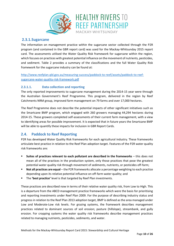

## <span id="page-9-0"></span>**2.3.1.Sugarcane**

The information on management practice within the sugarcane sector collected through the P2R program (and contained in the GBR report card) was used for the Mackay-Whitsunday 2015 report card. The assessments utilised the Water Quality Risk framework for sugarcane within the region, which focuses on practices with greatest potential influence on the movement of nutrients, pesticides, and sediment. [Table 2](#page-7-3) provides a summary of the classifications and the full Water Quality Risk framework for the sugarcane industry can be found at:

[http://www.reefplan.qld.gov.au/measuring-success/paddock-to-reef/assets/paddock-to-reef](http://www.reefplan.qld.gov.au/measuring-success/paddock-to-reef/assets/paddock-to-reef-sugarcane-water-quality-risk-framework.pdf)[sugarcane-water-quality-risk-framework.pdf](http://www.reefplan.qld.gov.au/measuring-success/paddock-to-reef/assets/paddock-to-reef-sugarcane-water-quality-risk-framework.pdf)

### <span id="page-9-1"></span>**2.3.1.1. Data collection and reporting**

The only reported improvements to sugarcane management during the 2014-15 year were through the Australian Government's Reef Programme. This program, delivered in the region by Reef Catchments NRM group, improved farm management on 79 farms and over 17,000 hectares.

The Reef Programme does not describe the potential impacts of other significant initiatives such as the Smartcane BMP program, which engaged with 260 growers managing 44,294 hectares during 2014-15. These growers completed self-assessments of their current farm management, with a view to identifying areas for possible improvement. It is expected that in future years the Smartcane BMP will be able to quantify these impacts for inclusion in GBR Report Cards.

## <span id="page-9-2"></span>**2.4. Paddock to Reef Reporting**

P2R has developed Water Quality Risk frameworks for each agricultural industry. These frameworks articulate best practice in relation to the Reef Plan adoption target. Features of the P2R water quality risk frameworks are:

- **Suites of practices relevant to each pollutant are described in the frameworks** this does not mean all of the practices in the production system, only those practices that pose the greatest potential water quality risk through movement of sediments, nutrients, or pesticides off-farm;
- **Not all practices are equal** the P2R frameworks allocate a percentage weighting to each practice depending upon its relative potential influence on off-farm water quality; and
- The **'best practice'** level is that targeted by Reef Plan investments.

These practices are described now in terms of their relative water quality risk, from Low to High. This is a departure from the ABCD management practice frameworks which were the basis for prioritising and reporting investments under Reef Plan 2009. For the purpose of describing industry status and progress in relation to the Reef Plan 2013 adoption target, BMP is defined as the area managed under Low and Moderate-Low risk levels. For grazing systems, the framework describes management practices related to dominant sources of soil erosion; pasture (hillslope), streambank, and gully erosion. For cropping systems the water quality risk frameworks describe management practices related to managing nutrients, pesticides, sediments, and water.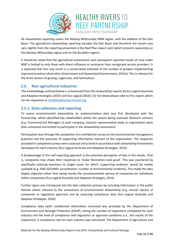

All stewardship reporting covers the Mackay-Whitsunday NRM region, with the addition of the Don Basin. The agricultural stewardship reporting includes the Don Basin and therefore the results may vary slightly from the reporting presented in the Reef Plan report card (which presents separately on the Mackay-Whitsunday region and on the Burdekin region).

It should be noted that the agricultural assessments and subsequent reported results of area under BMP is limited to only those with direct influence or assistance from recognised service providers. It is expected that this may result in a conservative estimate of the number of growers implementing improved practices (Australian Government and Queensland Government, 2015a). This is relevant for the three sectors of grazing, sugarcane, and horticulture.

## <span id="page-10-0"></span>**2.5. Non-agricultural industries**

The methodology outlined below is summarised from the stewardship reports by Eco Logical Australia and Adaptive Strategies (2015) and Eco Logical (2016). For full detail please refer to this report, which can be requested a[t info@healthyriverstoreef.org.](mailto:INFO@HEALTHYRIVERSTOREEF.ORG.AU?subject=Stewardship%20methodology%20report%20request)

## <span id="page-10-1"></span>**2.5.1. Data collection and reporting**

To assess environmental stewardship an implementation plan was first developed with the Partnership, which identified key stakeholders within the sectors being assessed. Relevant contacts (e.g. Environmental Manager) at each company, industry representative body or organisation were then contacted and invited to participate in the stewardship assessment.

Participation was through the completion of a confidential survey on the environmental management practices and the provision of supporting information relevant to the organisation. The responses provided in completed surveys were assessed and scored in accordance with stewardship frameworks developed for each industry (Eco Logical Australia and Adaptive Strategies, 2016).

A disadvantage of this self-reporting approach is the potential perception of bias in the results. That is, companies may shape their responses to 'make themselves look good'. This was countered by specifically tailoring questions to target issues for which 'supporting evidence' would be readily available (e.g. EMS ISO14001 accreditation; number of environmental incidents). This made the data largely objective rather than being merely the unsubstantiated opinion of companies (or individuals within companies) (Eco Logical Australia and Adaptive Strategies, 2016).

Further rigour was introduced into the data collection process by including information in the public domain where relevant to the assessment of environmental stewardship (e.g. annual reports of companies or regulatory agencies) and by assessing compliance data (Eco Logical Australia and Adaptive Strategies, 2016).

Compliance data (with confidential information removed) was provided by the Department of Environment and Heritage Protection (DEHP), noting the number of inspections completed for each industry and the level of compliance with legislation or approval conditions (i.e., the results of the inspection). A compliance rate for each industry was calculated. The Department of Agriculture and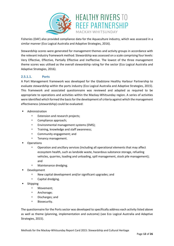

Fisheries (DAF) also provided compliance data for the Aquaculture industry, which was assessed in a similar manner (Eco Logical Australia and Adaptive Strategies, 2016).

Stewardship scores were generated for management themes and activity groups in accordance with the relevant industry framework method. Stewardship was assessed on a scale comprising four levels: Very Effective, Effective, Partially Effective and Ineffective. The lowest of the three management theme scores was utilised as the overall stewardship rating for the sector (Eco Logical Australia and Adaptive Strategies, 2016).

## <span id="page-11-0"></span>**2.5.1.1. Ports**

A Port Management framework was developed for the Gladstone Healthy Harbour Partnership to evaluate stewardship within the ports industry (Eco Logical Australia and Adaptive Strategies, 2015). This framework and associated questionnaire was reviewed and adapted as required to be appropriate to operations and activities within the Mackay-Whitsunday region. A series of activities were identified which formed the basis for the development of criteria against which the management effectiveness (stewardship) could be evaluated:

- Administration
	- **Extension and research projects;**
	- <sup>D</sup> Compliance approach;
	- □ Environmental management systems (EMS);
	- □ Training, knowledge and staff awareness;
	- Community engagement; and
	- <sup>D</sup> Tenancy management.
- **Operations** 
	- Operation and ancillary services (including all operational elements that may affect ecosystem health, such as landside waste, hazardous substance storage, refueling vehicles, quarries, loading and unloading, spill management, stock pile management); and
	- Maintenance dredging.
- Development
	- $\Box$  New capital development and/or significant upgrades; and
	- Capital dredging.
- Shipping
	- Movement;
	- Anchorage;
	- Discharges; and
	- Biosecurity.

The questionnaire for the Ports sector was developed to specifically address each activity listed above as well as theme (planning, implementation and outcome) (see Eco Logical Australia and Adaptive Strategies, 2015).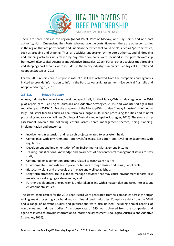

There are three ports in the region (Abbot Point, Port of Mackay, and Hay Point) and one port authority, North Queensland Bulk Ports, who manage the ports. However, there are other companies in the region that are port tenants and undertake activities that could be classified as "port" activities, such as dredging and shipping. Thus, all activities undertaken by the port authority, and all dredging and shipping activities undertaken by any other company, were included in the port stewardship framework (Eco Logical Australia and Adaptive Strategies, 2016). For all other activities (not dredging and shipping) port tenants were included in the heavy industry framework (Eco Logical Australia and Adaptive Strategies, 2016).

For the 2015 report card, a response rate of 100% was achieved from the companies and agencies invited to provide information to inform the Port stewardship assessment (Eco Logical Australia and Adaptive Strategies, 2016).

## <span id="page-12-0"></span>**2.5.1.2. Heavy industry**

A heavy industry framework was developed specifically for the Mackay-Whitsunday region in the 2014 pilot report card (Eco Logical Australia and Adaptive Strategies, 2015) and was utilised again this reporting year (2015/16). For the purposes of the Mackay-Whitsunday, "heavy industry" is defined as large industrial facilities such as coal terminals, sugar mills, meat processing facilities and mineral processing and storage facilities(Eco Logical Australia and Adaptive Strategies, 2016). The stewardship assessment covered the following criteria across three management themes, being planning, implementation and outcome:

- Involvement in extension and research projects related to ecosystem health;
- Compliance with environmental approvals/licences, legislation and level of engagement with regulators;
- Development and implementation of an Environmental Management System;
- **Training, qualifications, knowledge and awareness of environmental management issues for key** staff;
- **EXEDEM** Community engagement on programs related to ecosystem health;
- Environmental standards are in place for tenants through lease conditions (if applicable);
- Biosecurity plans and protocols are in place and well established;
- **Long term strategies are in place to manage activities that may cause environmental harm, like** maintenance dredging or stormwater; and
- Further development or expansion is undertaken in line with a master plan and takes into account environmental issues.

The stewardship results for the 2015 report card were generated from six companies across the sugar milling, meat processing, coal handling and mineral sands industries. Compliance data from the DEHP and a range of relevant studies and publications were also utilised, including annual reports of companies and industry bodies. A response rate of 64% was achieved from the companies and agencies invited to provide information to inform the assessment (Eco Logical Australia and Adaptive Strategies, 2016).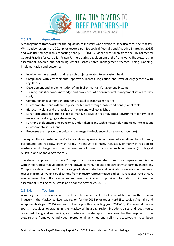

#### <span id="page-13-0"></span>**2.5.1.3. Aquaculture**

A management framework for the aquaculture industry was developed specifically for the Mackay-Whitsunday region in the 2014 pilot report card (Eco Logical Australia and Adaptive Strategies, 2015) and was utilised again this reporting year (2015/16). Guidance was taken from the Environmental Code of Practice for Australian Prawn Farmers during development of the framework. The stewardship assessment covered the following criteria across three management themes, being planning, implementation and outcome:

- **I.** Involvement in extension and research projects related to ecosystem health;
- Compliance with environmental approvals/licences, legislation and level of engagement with regulators;
- Development and implementation of an Environmental Management System;
- Training, qualifications, knowledge and awareness of environmental management issues for key staff;
- **EXECOMMUNITY ENGINEEY COMMUNITY ENGINAL COMMUNITY** Community engagement on programs related to ecosystem health;
- Environmental standards are in place for tenants through lease conditions (if applicable);
- Biosecurity plans and protocols are in place and well established;
- **EXECT** Long term strategies are in place to manage activities that may cause environmental harm, like maintenance dredging or stormwater;
- Further development or expansion is undertaken in line with a master plan and takes into account environmental issues; and
- Processes are in place to monitor and manage the incidence of disease (aquaculture).

The aquaculture industry in the Mackay-Whitsunday region is comprised of a small number of prawn, barramundi and red-claw crayfish farms. The industry is highly regulated, primarily in relation to wastewater discharges and the management of biosecurity issues such as disease (Eco Logical Australia and Adaptive Strategies, 2016).

The stewardship results for the 2015 report card were generated from four companies and liaison with three representative bodies in the prawn, barramundi and red claw crayfish farming industries. Compliance data from the DAF and a range of relevant studies and publications were also utilised (e.g. research from CSIRO and publications from industry representative bodies). A response rate of 67% was achieved from the companies and agencies invited to provide information to inform the assessment (Eco Logical Australia and Adaptive Strategies, 2016).

### <span id="page-13-1"></span>**2.5.1.4. Tourism**

A management framework was developed to assess the level of stewardship within the tourism industry in the Mackay-Whitsunday region for the 2014 pilot report card (Eco Logical Australia and Adaptive Strategies, 2015) and was utilised again this reporting year (2015/16). Commercial marine tourism activities operating in the Mackay-Whitsunday region include cruises and boat tours, organised diving and snorkelling, air charters and water sport operations. For the purposes of the stewardship framework, individual recreational activities and self-hire boats/yachts have been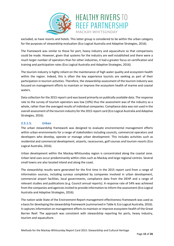

excluded, as have resorts and hotels. This latter group is considered to be within the urban category for the purposes of stewardship evaluation (Eco Logical Australia and Adaptive Strategies, 2016).

The framework was similar to those for port, heavy industry and aquaculture so that comparisons could be made. However, given that systems for the industry are well established and there were a much larger number of operators than for other industries, it had a greater focus on certification and training and participation rates (Eco Logical Australia and Adaptive Strategies, 2016).

The tourism industry is highly reliant on the maintenance of high water quality and ecosystem health within the region. Indeed, this is often the key experience tourists are seeking as part of their participation in tourism activities. Therefore, the stewardship assessment of the tourism industry was focused on management efforts to maintain or improve the ecosystem health of marine and coastal waters.

Data collection for the 2015 report card was based primarily on publically available data. The response rate to the survey of tourism operators was low (10%) thus the assessment was of the industry as a whole, rather than the averaged results of individual companies. Compliance data was not used in the overall assessment of the tourism industry for the 2015 report card (Eco Logical Australia and Adaptive Strategies, 2016).

## <span id="page-14-0"></span>**2.5.1.5. Urban**

The urban stewardship framework was designed to evaluate environmental management efforts within urban environments for a range of stakeholders including councils, commercial operators and developers who develop, operate or manage urban development. This includes activities such as residential and commercial development, airports, racecourses, golf courses and tourism resorts (Eco Logical Australia, 2016).

Urban development within the Mackay-Whitsunday region is concentrated along the coastal zone. Urban land uses occur predominantly within cities such as Mackay and large regional centres. Several small towns are also located inland and along the coast.

The stewardship results were generated for the first time in the 2015 report card from a range of information sources, including surveys completed by companies involved in urban development, commercial airport facilities, local governments, compliance data from the DEHP and a range of relevant studies and publications (e.g. Council annual reports). A response rate of 54% was achieved from the companies and agencies invited to provide information to inform the assessment (Eco Logical Australia and Adaptive Strategies, 2016).

The nation-wide State of the Environment Report management effectiveness framework was used as a basis for developing the stewardship framework (summarised in [Table 4;](#page-15-0) Eco Logical Australia, 2016). It captures information on management efforts to maintain or improve ecosystem health of the Great Barrier Reef. The approach was consistent with stewardship reporting for ports, heavy industry, tourism and aquaculture.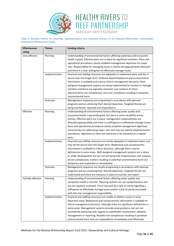

<span id="page-15-0"></span>**Table 4. Guiding criteria for planning, implementation and outcome themes in the Mackay-Whitsunday stewardship framework Effectiveness rating.**

| <b>Effectiveness</b> | <b>Theme</b>   | <b>Guiding criteria</b>                                                                                                                                                                                                                                                                                                                                                                                                                                                                                                                                          |
|----------------------|----------------|------------------------------------------------------------------------------------------------------------------------------------------------------------------------------------------------------------------------------------------------------------------------------------------------------------------------------------------------------------------------------------------------------------------------------------------------------------------------------------------------------------------------------------------------------------------|
| rating               |                |                                                                                                                                                                                                                                                                                                                                                                                                                                                                                                                                                                  |
| Very effective       | Planning       | Understanding of environmental factors affecting waterway and ecosystem<br>health is good. Effective plans are in place for significant activities. Plans and<br>operational procedures clearly establish management objectives for major<br>risks. Responsibility for managing issues is clearly and appropriately allocated<br>and there is a clear willingness to effectively manage issues.                                                                                                                                                                  |
|                      | Implementation | Financial and staffing resources are adequate to implement plans and this is<br>secure over the longer term. Evidence-based biophysical and socioeconomic<br>information is available and used to inform management decisions. Well-<br>designed management systems are being implemented to monitor or manage<br>activities and these are regularly reviewed. Low instance of minor<br>administrative non-compliances; zero non-compliance resulting in potential<br>environmental harm.                                                                        |
|                      | Outcome        | Management responses are progressing in accordance with planned<br>programs and are achieving their desired objectives. Targeted threats are<br>being monitored, reported and responded to.                                                                                                                                                                                                                                                                                                                                                                      |
| Effective            | Planning       | Understanding of environmental factors affecting water quality and<br>ecosystem health is generally good, but there is some variability across<br>activity. Effective plans are in place, management responsibilities are<br>allocated appropriately and there is a willingness to effectively manage issues.<br>Plans and operational procedures clearly establish management objectives<br>and priorities for addressing major risks, but may not specify implementation<br>procedures, objectives or other key elements or be reviewed on a regular<br>basis. |
|                      | Implementation | Financial and staffing resources are mostly adequate to implement plans, but<br>may not be secure over the longer term. Biophysical and socioeconomic<br>information is available to inform decisions, although there may be<br>deficiencies in some areas. Well-designed management systems are in place<br>or under development, but are not yet being fully implemented. Low instance<br>of non-compliances; matters resulting in potential environmental harm are<br>temporary and responded to immediately.                                                 |
|                      | Outcome        | Management responses are mostly progressing in accordance with planned<br>programs and are achieving their desired objectives. Targeted threats are<br>understood and there are measures in place to monitor and report.                                                                                                                                                                                                                                                                                                                                         |
| Partially effective  | Planning       | Understanding of environmental factors affecting water quality and<br>ecosystem health is only fair. Planning systems are not comprehensive and<br>are not regularly reviewed. There may also be a lack of clarity regarding a<br>willingness to effectively manage issues and/or a lack of clarity associated<br>with who has management responsibility.                                                                                                                                                                                                        |
|                      | Implementation | Financial and staffing resources are unable to address issues in some<br>important areas. Biophysical and socioeconomic information is available to<br>inform management decisions, although there are significant deficiencies in<br>some areas. Management systems provide some guidance, but are not<br>consistently delivering with regards to stakeholder involvement, adaptive<br>management or reporting. Notable non-compliances resulting in potential<br>environmental harm that are responded to immediately and effectively.                         |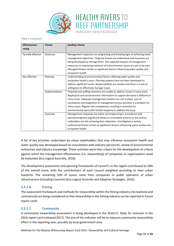

#### **Table 4. Continued.**

| <b>Effectiveness</b> | <b>Theme</b>   | <b>Guiding criteria</b>                                                         |
|----------------------|----------------|---------------------------------------------------------------------------------|
| rating               |                |                                                                                 |
| Partially effective  | Outcome        | Management responses are progressing and showing signs of achieving some        |
|                      |                | management objectives. Targeted threats are understood and measures are         |
|                      |                | being developed to manage them. The expected impacts of management              |
|                      |                | measures on improving resilience of environmental values are yet to be seen.    |
|                      |                | Managed threats remain as significant factors influencing water quality and     |
|                      |                | ecosystem health.                                                               |
| Not effective        | Planning       | Understanding of environmental factors affecting water quality and              |
|                      |                | ecosystem health is poor. Planning systems have not been developed to           |
|                      |                | address significant issues. Responsibilities are unclear and there is a lack of |
|                      |                | willingness to effectively manage issues.                                       |
|                      | Implementation | Financial and staffing resources are unable to address issues in many areas.    |
|                      |                | Biophysical and socioeconomic information to support decisions is deficient in  |
|                      |                | many areas. Adequate management systems are not in place. Lack of               |
|                      |                | consistency and integration of management across activities is a problem for    |
|                      |                | many issues. Regular non-compliances; resulting in potential for                |
|                      |                | environmental harm with limited response to address the issue.                  |
|                      | Outcome        | Management responses are either not progressing in accordance with              |
|                      |                | planned programs (significant delays or incomplete actions) or the actions      |
|                      |                | undertaken are not achieving their objectives. Unmitigated or poorly            |
|                      |                | understood threats remain as significant factors influencing water quality and  |
|                      |                | ecosystem health.                                                               |

A list of key activities undertaken by urban stakeholders that may influence ecosystem health and water quality was developed based on consultation with industry personnel, review of environmental authorities and industry knowledge. These activities were then a basis for the development of criteria against which the management effectiveness (i.e. stewardship) of companies or organisations could be evaluated (Eco Logical Australia, 2016).

The development assessment and planning frameworks of Council's in the region contributed to 50% of the overall score, with the contributions of each Council weighted according to their urban footprint. The remaining 50% of scores came from companies or public operators of urban infrastructure (including Councils) (Eco Logical Australia and Adaptive Strategies, 2016).

### <span id="page-16-0"></span>**2.5.1.6. Fishing**

The assessment framework and methods for stewardship within the fishing industry (recreational and commercial) are being considered so that stewardship in the fishing industry can be reported in future report cards.

### <span id="page-16-1"></span>**2.5.1.7. Community**

A community stewardship assessment is being developed in the 2016/17, likely for inclusion in the 2016 report card (released 2017). The aim of the indicator will be to measure community stewardship effort in the reporting year, possibly by local government area.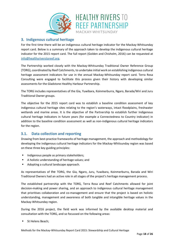

## <span id="page-17-0"></span>**3. Indigenous cultural heritage**

For the first time there will be an indigenous cultural heritage indicator for the Mackay-Whitsunday report card. Below is a summary of the approach taken to develop the indigenous cultural heritage indicator for the 2015 report card. The full report (Golden and Chisholm, 2016) can be requested at [info@healthyriverstoreef.org.](mailto:INFO@HEALTHYRIVERSTOREEF.ORG.AU?subject=Indigenous%20cultural%20heritage%202015%20report%20request)

The Partnership worked closely with the Mackay-Whitsunday Traditional Owner Reference Group (TORG), coordinated by Reef Catchments, to undertake initial work on establishing indigenous cultural heritage assessment indicators for use in the annual Mackay-Whitsunday report card. Terra Rosa Consulting were engaged to facilitate this process given their history with developing similar assessments for the Gladstone Healthy Harbour Partnership.

The TORG includes representatives of the Gia, Yuwibara, Koinmerburra, Ngaro, Barada/Wiri and Juru Traditional Owner groups.

The objective for the 2015 report card was to establish a baseline condition assessment of key indigenous cultural heritage sites relating to the region's waterways, intact floodplains, freshwater wetlands and marine areas. It is the objective of the Partnership to establish further Indigenous cultural heritage indicators in future years (for example a Connectedness to Country indicator) in addition to the baseline condition assessment as well as non-indigenous cultural heritage indicators for the region.

## <span id="page-17-1"></span>**3.1. Data collection and reporting**

Drawing from best-practice frameworks of heritage management, the approach and methodology for developing the indigenous cultural heritage indicators for the Mackay-Whitsunday region was based on these three key guiding principles:

- Indigenous people as primary stakeholders;
- A holistic understanding of heritage values; and
- Adopting a cultural landscape approach.

As representatives of the TORG, the Gia, Ngaro, Juru, Yuwibara, Koinmerburra, Barada and Wiri Traditional Owners had an active role in all stages of the project's heritage management process.

The established partnership with the TORG, Terra Rosa and Reef Catchments allowed for joint decision-making and power sharing, and an approach to indigenous cultural heritage management that prioritises collaboration and co-management and ensure that the project is based on holistic understanding, management and awareness of both tangible and intangible heritage values in the Mackay-Whitsunday region.

During the 2016 project, the field work was informed by the available desktop material and consultation with the TORG, and so focussed on the following areas:

St Helens Beach;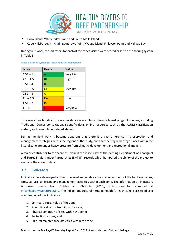

- Hook Island, Whitsunday Island and South Molle Island;
- Cape Hillsborough including Andrews Point, Wedge island, Finlayson Point and Haliday Bay

During field work, the indicators for each of the zones visited were scored based on the scoring system in [Table 5.](#page-18-1)

| <b>Score</b> | Grade | <b>Value</b> |
|--------------|-------|--------------|
| $4.51 - 5$   | А     | Very High    |
| $4.1 - 4.5$  | $B+$  | High         |
| $3.51 - 4$   | $B -$ |              |
| $3.1 - 3.5$  | $C+$  | Medium       |
| $2.51 - 3$   | $C-$  |              |
| $2.1 - 2.5$  | $D+$  | Low          |
| $1.51 - 2$   | $D -$ |              |
| $1 - 1.5$    | F     | Very low     |

<span id="page-18-1"></span>**Table 5. Scoring system for indigenous cultural heritage.**

To arrive at each indicator score, evidence was collected from a broad range of sources, including Traditional Owner consultation, scientific data, online resources such as the ALUM classification system, and research (as defined above).

During the field work it became apparent that there is a vast difference in preservation and management strategies across the regions of the study, and that the fragile heritage places within the littoral zone are under heavy pressure from climatic, development and recreational impacts.

A major contributor to the score this year is the inaccuracy of the existing Department of Aboriginal and Torres Strait Islander Partnerships (DATSIP) records which hampered the ability of the project to evaluate the areas in detail.

## <span id="page-18-0"></span>**3.2. Indicators**

Indicators were developed at the zone level and enable a holistic assessment of the heritage values, sites, cultural landscape and management activities within each zone. The information on indicators is taken directly from Golden and Chisholm (2016), which can be requested at [info@healthyriverstoreef.org.](mailto:INFO@HEALTHYRIVERSTOREEF.ORG.AU?subject=Indigenous%20cultural%20heritage%202015%20report%20request) The indigenous cultural heritage health for each zone is assessed as a combination of five indicators:

- 1. Spiritual / social value of the zone;
- 2. Scientific value of sites within the zone;
- 3. Physical condition of sites within the zone;
- 4. Protection of sites; and
- 5. Cultural maintenance activities within the zone.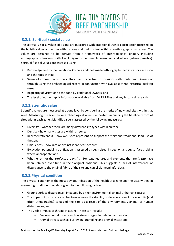

## <span id="page-19-0"></span>**3.2.1. Spiritual / social value**

The spiritual / social values of a zone are measured with Traditional Owner consultation focussed on the holistic values of the sites within a zone and their context within any ethnographic narratives. The values are designed to be derived from a framework of anthropological enquiry including ethnographic interviews with key Indigenous community members and elders (where possible). Spiritual / social values are assessed using:

- Knowledge held by the Traditional Owners and the broader ethnographic narrative for each zone and the sites within;
- Sense of connection to the cultural landscape from discussions with Traditional Owners or through using the archaeological record in conjunction with available ethno-historical desktop research;
- Regularity of visitation to the zone by Traditional Owners; and
- The level of ethnographic information available from DATSIP files and any historical research.

## <span id="page-19-1"></span>**3.2.2.Scientific value**

Scientific values are measured at a zone level by considering the merits of individual sites within that zone. Measuring the scientific or archaeological value is important in building the baseline record of sites within each zone. Scientific value is assessed by the following measures:

- Diversity whether there are many different site types within an zone;
- Density how many sites are within an zone;
- Representativeness how well sites represent or support the story and traditional land use of the zone;
- Uniqueness how rare or distinct identified sites are;
- Excavation potential stratification is assessed through visual inspection and subsurface probing where appropriate; and
- Whether or not the artefacts are *in situ*  Heritage features and elements that are *in situ* have been retained over time in their original positions. This suggests a lack of interference or disturbance to the original fabric of the site and can elicit meaningful data.

## <span id="page-19-2"></span>**3.2.3.Physical condition**

The physical condition is the most obvious indication of the health of a zone and the sites within. In measuring condition, thought is given to the following factors:

- Ground surface disturbance impacted by either environmental, animal or human causes;
- The impact of disturbance on heritage values the stability or deterioration of the scientific (and often ethnographic) values of the site, as a result of the environmental, animal or human disturbances; and
- The visible impact of threats in a zone. These can include:
	- Environmental threats such as storm surges, inundation and erosion;
	- Animal threats such as burrowing, trampling and animal waste; and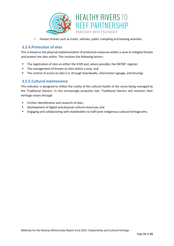

<sup>n</sup> Human threats such as tracks, vehicles, paths, trampling and boating activities.

## <span id="page-20-0"></span>**3.2.4.Protection ofsites**

This is based on the physical implementation of protective measures within a zone to mitigate threats and protect the sites within. This involves the following factors:

- **The registration of sites on either the ICHD and, where possible, the DATSIP register;**
- The management of threats to sites within a zone; and
- The control of access to sites (i.e. through boardwalks, information signage, and fencing).

## <span id="page-20-1"></span>**3.2.5.Cultural maintenance**

This indicator is designed to reflect the reality of the cultural health of the zones being managed by the Traditional Owners. In this increasingly proactive role, Traditional Owners will maintain their heritage values through:

- **Further identification and research of sites;**
- Development of digital and physical cultural resources; and
- Engaging and collaborating with stakeholders to fulfil joint indigenous cultural heritage aims.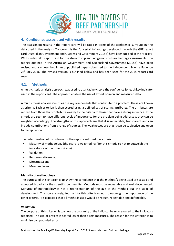

## <span id="page-21-0"></span>**4. Confidence associated with results**

The assessment results in the report card will be rated in terms of the confidence surrounding the data used in the analysis. To score this the "uncertainty" ratings developed through the GBR report card (Australian Government and Queensland Government 2015b) have been utilised in the Mackay-Whitsunday pilot report card for the stewardship and indigenous cultural heritage assessments. The ratings outlined in the Australian Government and Queensland Government (2015b) have been revised and are described in an unpublished paper submitted to the Independent Science Panel on 28<sup>th</sup> July 2016. The revised version is outlined below and has been used for the 2015 report card results.

## <span id="page-21-1"></span>**4.1. Methods**

A multi-criteria analysis approach was used to qualitatively score the confidence for each key indicator used in the report card. The approach enables the use of expert opinion and measured data.

A multi criteria analysis identifies the key components that contribute to a problem. These are known as criteria. Each criterion is then scored using a defined set of scoring attributes. The attributes are ranked from those that contribute weakly to the criteria to those that have a strong influence. If the criteria are seen to have different levels of importance for the problem being addressed, they can be weighted accordingly. The strengths of this approach are that it is repeatable, transparent and can include contributions from a range of sources. The weaknesses are that it can be subjective and open to manipulation.

The determination of confidence for the report card used five criteria:

- **•** Maturity of methodology (the score is weighted half for this criteria so not to outweigh the importance of the other criteria);
- Validation;
- **Representativeness;**
- Directness; and
- **Neasured error.**

#### **Maturity of methodology**

The purpose of this criterion is to show the confidence that the method/s being used are tested and accepted broadly by the scientific community. Methods must be repeatable and well documented. Maturity of methodology is not a representation of the age of the method but the stage of development. This score is weighted half for this criteria so not to outweigh the importance of the other criteria. It is expected that all methods used would be robust, repeatable and defendable.

#### **Validation**

The purpose of this criterion is to show the proximity of the indicator being measured to the indicators reported. The use of proxies is scored lower than direct measures. The reason for this criterion is to minimise compounded error.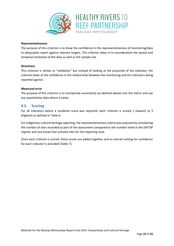

#### **Representativeness**

The purpose of this criterion is to show the confidence in the representativeness of monitoring/data to adequately report against relevant targets. This criterion takes in to consideration the spatial and temporal resolution of the data as well as the sample size.

#### **Directness**

This criterion is similar to "validation" but instead of looking at the proximity of the indicator, the criterion looks at the confidence in the relationship between the monitoring and the indicators being reported against.

#### **Measured error**

The purpose of this criterion is to incorporate uncertainty (as defined above) into the metric and use any quantitative data where it exists.

## <span id="page-22-0"></span>**4.2. Scoring**

For all indicators where a condition score was reported, each criterion is scored 1 (lowest) to 3 (highest) as defined in [Table 6.](#page-23-0)

For indigenous cultural heritage reporting, the representativeness criteria was assessed by considering the number of sites recorded as part of the assessment compared to the number listed in the DATSIP register and any known but unlisted sites for the reporting zone.

Once each criterion is scored, these scores are added together and an overall ranking for confidence for each indicator is provided [\(Table 7\)](#page-23-1).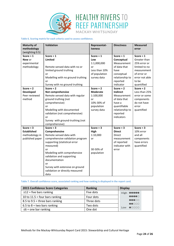



<span id="page-23-0"></span>**Table 6. Scoring matrix for each criteria used to assess confidence.**

| <b>Maturity of</b> | Validation                        | Representat-    | <b>Directness</b> | <b>Measured</b> |
|--------------------|-----------------------------------|-----------------|-------------------|-----------------|
| methodology        |                                   | <i>iveness</i>  |                   | error           |
| (weighting 0.5)    |                                   |                 |                   |                 |
| Score = $1$        | Score = $1$                       | Score = $1$     | Score = $1$       | Score = $1$     |
| New or             | <b>Limited</b>                    | Low             | Conceptual        | Greater than    |
| experimental       |                                   | 1:1,000,000     | Measurement       | 25% error or    |
| methodology        | Remote sensed data with no or     | or              | of data that      | limited to no   |
|                    | limited ground truthing           | Less than 10%   | have              | measurement     |
|                    | or                                | of population   | conceptual        | of error or     |
|                    | Modelling with no ground truthing | survey data     | relationship to   | error not able  |
|                    | or                                |                 | reported          | to be           |
|                    | Survey with no ground truthing    |                 | indicator         | quantified      |
| Score = $2$        | Score $= 2$                       | Score = $2$     | Score = $2$       | Score = $2$     |
| <b>Developed</b>   | Not comprehensive                 | <b>Moderate</b> | <b>Indirect</b>   | Less than 25%   |
| Peer reviewed      | Remote sensed data with regular   | 1:100,000       | Measurement       | error or some   |
| method             | ground truthing (not              | or              | of data that      | components      |
|                    | comprehensive)                    | 10%-30% of      | have a            | do not have     |
|                    | or                                | population      | quantifiable      | error           |
|                    | Modelling with documented         | survey data     | relationship to   | quantified      |
|                    | validation (not comprehensive)    |                 | reported          |                 |
|                    | or                                |                 | indicators        |                 |
|                    | Survey with ground-truthing (not  |                 |                   |                 |
|                    | comprehensive)                    |                 |                   |                 |
| Score = $3$        | Score = $3$                       | Score = $3$     | Score = $3$       | Score = $3$     |
| <b>Established</b> | Comprehensive                     | High            | <b>Direct</b>     | 10% error       |
| methodology in     | Remote sensed data with           | 1:10,000        | Direct            | and all         |
| published paper    | comprehensive validation program  | or              | measurement       | components      |
|                    | supporting (statistical error     |                 | of reported       | have errors     |
|                    | measured)                         |                 | indicator with    | quantified      |
|                    | or                                | 30-50% of       | error             |                 |
|                    | Modelling with comprehensive      | population      |                   |                 |
|                    | validation and supporting         |                 |                   |                 |
|                    | documentation                     |                 |                   |                 |
|                    | or                                |                 |                   |                 |
|                    | Survey with extensive on ground   |                 |                   |                 |
|                    | validation or directly measured   |                 |                   |                 |
|                    | data                              |                 |                   |                 |

#### <span id="page-23-1"></span>**Table 7. Overall confidence score, associated ranking and how ranking is displayed in the report card.**

| 2015 Confidence Score Categories  | Ranking    | <b>Display</b>                    |
|-----------------------------------|------------|-----------------------------------|
| $\geq$ 12 = five bars ranking     | Five dots  | High <b>@@@@@</b>                 |
| 10 to 11.5 = four bars ranking    | Four dots  | 00000                             |
| 8.5 to $9.5$ = three bars ranking | Three dots | $\bullet\bullet\bullet\circ\circ$ |
| 6.5 to 8 = two bars ranking       | Two dots   | $\bigcirc$<br>$@$ OOOO            |
| $\leq 6$ = one bar ranking        | One dot    | Low                               |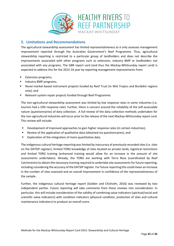

## <span id="page-24-0"></span>**5. Limitations and Recommendations**

The agricultural stewardship assessment has limited representativeness as it only assesses management improvement reported through the Australian Government's Reef Programme. Thus, agricultural stewardship reporting is restricted to a particular group of landholders and does not describe the improvements associated with other programs such as extension, industry BMP or landholders not associated with any programs. The GBR report card (and thus the Mackay-Whitsunday report card) is expected to address this for the 2015-16 year by reporting management improvements from:

- Extension programs;
- Industry BMP programs;
- Novel market-based instrument projects funded by Reef Trust (in Wet Tropics and Burdekin regions only); and
- Relevant system repair projects funded through Reef Programme.

The non-agricultural stewardship assessment was limited by low response rates in some industries (i.e. tourism had a 10% response rate). Further, there is concern around the reliability of the self-assessable nature (questionnaires) of data collection. A full review of the data collection methods undertaken for the non-agricultural industries will occur prior to the release of the next Mackay-Whitsunday report card. This review will include:

- **Development of improved approaches to gain higher response rates (in certain industries);**
- Review of the application of qualitative data (obtained via questionnaires); and
- **Exploration of the integration of more quantitative data.**

The indigenous cultural heritage reporting was limited by inaccuracy of previously recorded sites (i.e. sites on the DATSIP register), limited TORG knowledge of sites located on private lands, logistical restrictions and limited TORG training (enhanced training would allow for an increase in the amount of site assessments undertaken). Already, the TORG are working with Terra Rosa (coordinated by Reef Catchments) to obtain the necessary training required to undertake site assessments for future reporting, including considering the accuracy of the DATSIP register. For future reporting this could mean an increase in the number of sites assessed and an overall improvement in confidence of the representativeness of the sample.

Further, the indigenous cultural heritage report (Golden and Chisholm, 2016) was reviewed by two independent parties. Future reporting will take comments from these reviews into consideration. In particular, this will include consideration of the validity of combining value indicators (spiritual/social and scientific value indicators) with condition indicators (physical condition, protection of sites and cultural maintenance indicators) to produce an overall score.